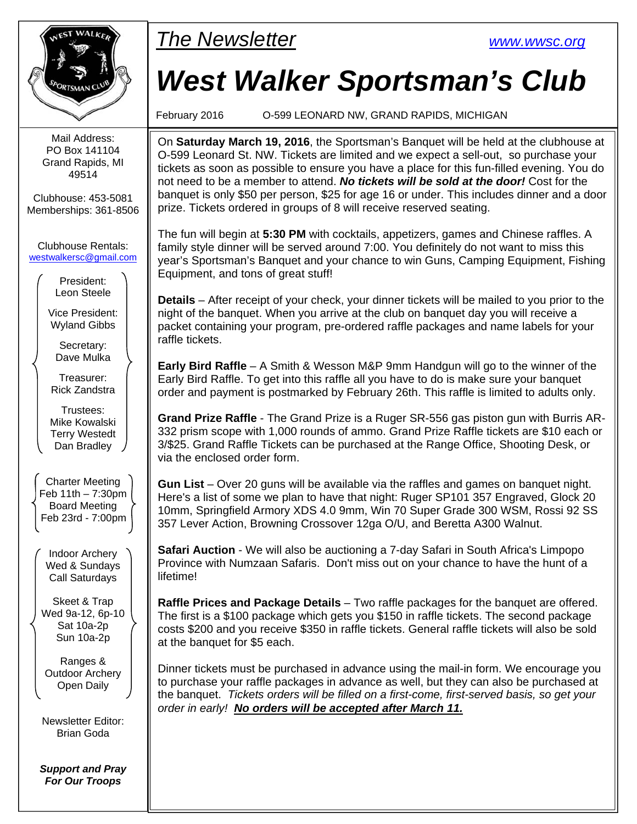

Mail Address: PO Box 141104 Grand Rapids, MI 49514

Clubhouse: 453-5081 Memberships: 361-8506

Clubhouse Rentals: westwalkersc@gmail.com

> President: Leon Steele

Vice President: Wyland Gibbs

> Secretary: Dave Mulka

Treasurer: Rick Zandstra

Trustees: Mike Kowalski Terry Westedt Dan Bradley

Charter Meeting Feb 11th – 7:30pm Board Meeting Feb 23rd - 7:00pm

Indoor Archery Wed & Sundays Call Saturdays

Skeet & Trap Wed 9a-12, 6p-10 Sat 10a-2p Sun 10a-2p

Ranges & Outdoor Archery Open Daily

Newsletter Editor: Brian Goda

*Support and Pray For Our Troops* 

## WALKER The Newsletter www.wwsc.org

# *West Walker Sportsman's Club*

February 2016 O-599 LEONARD NW, GRAND RAPIDS, MICHIGAN

On **Saturday March 19, 2016**, the Sportsman's Banquet will be held at the clubhouse at O-599 Leonard St. NW. Tickets are limited and we expect a sell-out, so purchase your tickets as soon as possible to ensure you have a place for this fun-filled evening. You do not need to be a member to attend. *No tickets will be sold at the door!* Cost for the banquet is only \$50 per person, \$25 for age 16 or under. This includes dinner and a door prize. Tickets ordered in groups of 8 will receive reserved seating.

The fun will begin at **5:30 PM** with cocktails, appetizers, games and Chinese raffles. A family style dinner will be served around 7:00. You definitely do not want to miss this year's Sportsman's Banquet and your chance to win Guns, Camping Equipment, Fishing Equipment, and tons of great stuff!

**Details** – After receipt of your check, your dinner tickets will be mailed to you prior to the night of the banquet. When you arrive at the club on banquet day you will receive a packet containing your program, pre-ordered raffle packages and name labels for your raffle tickets.

**Early Bird Raffle** – A Smith & Wesson M&P 9mm Handgun will go to the winner of the Early Bird Raffle. To get into this raffle all you have to do is make sure your banquet order and payment is postmarked by February 26th. This raffle is limited to adults only.

**Grand Prize Raffle** - The Grand Prize is a Ruger SR-556 gas piston gun with Burris AR-332 prism scope with 1,000 rounds of ammo. Grand Prize Raffle tickets are \$10 each or 3/\$25. Grand Raffle Tickets can be purchased at the Range Office, Shooting Desk, or via the enclosed order form.

**Gun List** – Over 20 guns will be available via the raffles and games on banquet night. Here's a list of some we plan to have that night: Ruger SP101 357 Engraved, Glock 20 10mm, Springfield Armory XDS 4.0 9mm, Win 70 Super Grade 300 WSM, Rossi 92 SS 357 Lever Action, Browning Crossover 12ga O/U, and Beretta A300 Walnut.

**Safari Auction** - We will also be auctioning a 7-day Safari in South Africa's Limpopo Province with Numzaan Safaris. Don't miss out on your chance to have the hunt of a lifetime!

**Raffle Prices and Package Details** – Two raffle packages for the banquet are offered. The first is a \$100 package which gets you \$150 in raffle tickets. The second package costs \$200 and you receive \$350 in raffle tickets. General raffle tickets will also be sold at the banquet for \$5 each.

Dinner tickets must be purchased in advance using the mail-in form. We encourage you to purchase your raffle packages in advance as well, but they can also be purchased at the banquet. *Tickets orders will be filled on a first-come, first-served basis, so get your order in early! No orders will be accepted after March 11.*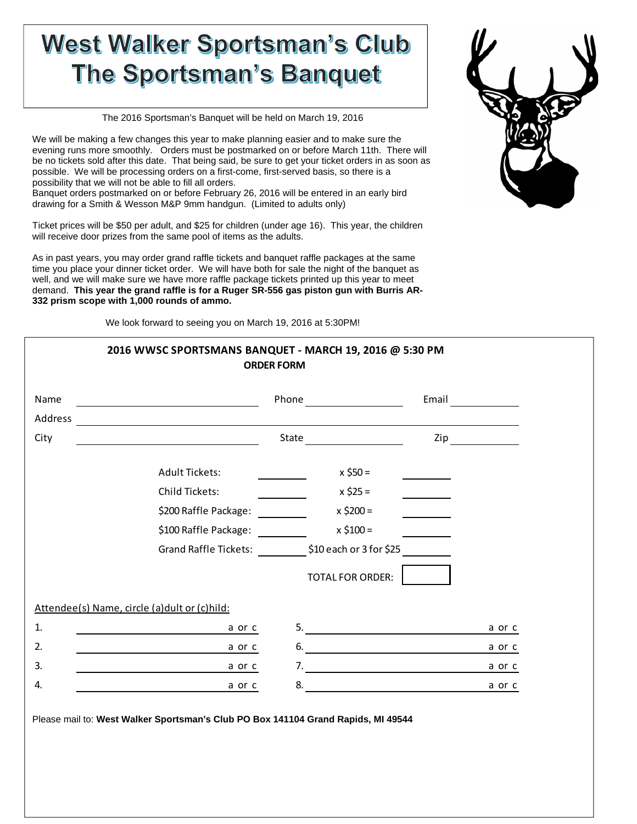## **West Walker Sportsman's Club The Sportsman's Banquet**

The 2016 Sportsman's Banquet will be held on March 19, 2016

We will be making a few changes this year to make planning easier and to make sure the evening runs more smoothly. Orders must be postmarked on or before March 11th. There will be no tickets sold after this date. That being said, be sure to get your ticket orders in as soon as possible. We will be processing orders on a first-come, first-served basis, so there is a possibility that we will not be able to fill all orders.

Banquet orders postmarked on or before February 26, 2016 will be entered in an early bird drawing for a Smith & Wesson M&P 9mm handgun. (Limited to adults only)

Ticket prices will be \$50 per adult, and \$25 for children (under age 16). This year, the children will receive door prizes from the same pool of items as the adults.

As in past years, you may order grand raffle tickets and banquet raffle packages at the same time you place your dinner ticket order. We will have both for sale the night of the banquet as well, and we will make sure we have more raffle package tickets printed up this year to meet demand. **This year the grand raffle is for a Ruger SR-556 gas piston gun with Burris AR-332 prism scope with 1,000 rounds of ammo.**

We look forward to seeing you on March 19, 2016 at 5:30PM!

| Name |                                                         |                               |                |
|------|---------------------------------------------------------|-------------------------------|----------------|
|      |                                                         |                               |                |
| City | <u> 1980 - Johann Barbara, martin amerikan basar da</u> |                               | $\mathsf{Zip}$ |
|      | Adult Tickets:                                          | $x$ \$50 =                    |                |
|      | Child Tickets:                                          | $x$ \$25 =                    |                |
|      | \$200 Raffle Package:                                   | $x \, \text{ }^2\text{200} =$ |                |
|      | \$100 Raffle Package: ________                          | $x$ \$100 =                   |                |
|      | Grand Raffle Tickets: \$10 each or 3 for \$25           |                               |                |
|      |                                                         | <b>TOTAL FOR ORDER:</b>       |                |
|      | Attendee(s) Name, circle (a) dult or (c) hild:          |                               |                |
| 1.   | a or c                                                  | 5.                            | a or c         |
| 2.   | a or c                                                  | 6.                            | a or c         |
| 3.   | a or c                                                  | 7.                            | a or c         |
| 4.   | a or c                                                  | 8.                            | a or c         |

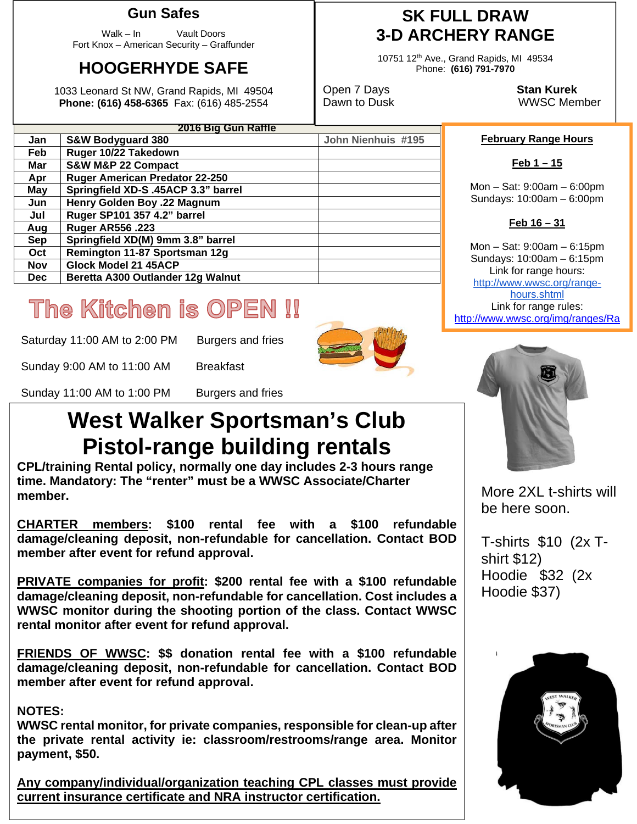### **Gun Safes**

Walk – In Vault Doors Fort Knox – American Security – Graffunder

### **HOOGERHYDE SAFE**

1033 Leonard St NW, Grand Rapids, MI 49504 **Phone: (616) 458-6365** Fax: (616) 485-2554

### **SK FULL DRAW 3-D ARCHERY RANGE**

10751 12th Ave., Grand Rapids, MI 49534 Phone: **(616) 791-7970** 

Open 7 Days **Stan Kurek**

Dawn to Dusk WWSC Member

#### **February Range Hours**

**Feb 1 – 15** 

Mon – Sat: 9:00am – 6:00pm Sundays: 10:00am – 6:00pm

#### **Feb 16 – 31**

Mon – Sat: 9:00am – 6:15pm Sundays: 10:00am – 6:15pm Link for range hours: http://www.wwsc.org/rangehours.shtml Link for range rules: http://www.wwsc.org/img/ranges/Ra

# The Kitchen is OPEN !!

Saturday 11:00 AM to 2:00 PM Burgers and fries

**Feb Ruger 10/22 Takedown Mar S&W M&P 22 Compact** 

**Aug Ruger AR556 .223** 

**Nov Glock Model 21 45ACP** 

**Apr Ruger American Predator 22-250 May Springfield XD-S .45ACP 3.3" barrel Jun Henry Golden Boy .22 Magnum Jul Ruger SP101 357 4.2" barrel** 

Sep | Springfield XD(M) 9mm 3.8" barrel **Oct Remington 11-87 Sportsman 12g** 

**Dec** Beretta A300 Outlander 12g Walnut

**2016 Big Gun Raffle Jan S&W Bodyguard 380 John Nienhuis #195** 

Sunday 9:00 AM to 11:00 AM Breakfast

Sunday 11:00 AM to 1:00 PM Burgers and fries

## **West Walker Sportsman's Club Pistol-range building rentals**

**CPL/training Rental policy, normally one day includes 2-3 hours range time. Mandatory: The "renter" must be a WWSC Associate/Charter member.** 

**CHARTER members: \$100 rental fee with a \$100 refundable damage/cleaning deposit, non-refundable for cancellation. Contact BOD member after event for refund approval.** 

**PRIVATE companies for profit: \$200 rental fee with a \$100 refundable damage/cleaning deposit, non-refundable for cancellation. Cost includes a WWSC monitor during the shooting portion of the class. Contact WWSC rental monitor after event for refund approval.** 

**FRIENDS OF WWSC: \$\$ donation rental fee with a \$100 refundable damage/cleaning deposit, non-refundable for cancellation. Contact BOD member after event for refund approval.** 

#### **NOTES:**

**WWSC rental monitor, for private companies, responsible for clean-up after the private rental activity ie: classroom/restrooms/range area. Monitor payment, \$50.** 

**Any company/individual/organization teaching CPL classes must provide current insurance certificate and NRA instructor certification.** 



More 2XL t-shirts will be here soon.

T-shirts \$10 (2x Tshirt \$12) Hoodie \$32 (2x Hoodie \$37)